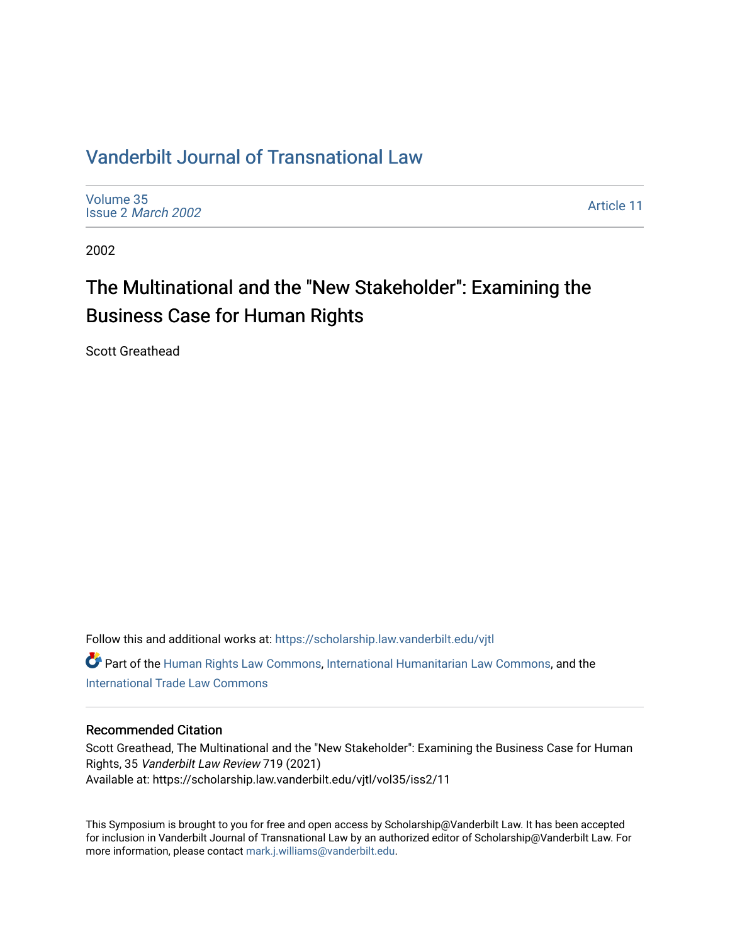# [Vanderbilt Journal of Transnational Law](https://scholarship.law.vanderbilt.edu/vjtl)

[Volume 35](https://scholarship.law.vanderbilt.edu/vjtl/vol35) Issue 2 [March 2002](https://scholarship.law.vanderbilt.edu/vjtl/vol35/iss2)

[Article 11](https://scholarship.law.vanderbilt.edu/vjtl/vol35/iss2/11) 

2002

# The Multinational and the "New Stakeholder": Examining the Business Case for Human Rights

Scott Greathead

Follow this and additional works at: [https://scholarship.law.vanderbilt.edu/vjtl](https://scholarship.law.vanderbilt.edu/vjtl?utm_source=scholarship.law.vanderbilt.edu%2Fvjtl%2Fvol35%2Fiss2%2F11&utm_medium=PDF&utm_campaign=PDFCoverPages)  Part of the [Human Rights Law Commons,](http://network.bepress.com/hgg/discipline/847?utm_source=scholarship.law.vanderbilt.edu%2Fvjtl%2Fvol35%2Fiss2%2F11&utm_medium=PDF&utm_campaign=PDFCoverPages) [International Humanitarian Law Commons](http://network.bepress.com/hgg/discipline/1330?utm_source=scholarship.law.vanderbilt.edu%2Fvjtl%2Fvol35%2Fiss2%2F11&utm_medium=PDF&utm_campaign=PDFCoverPages), and the [International Trade Law Commons](http://network.bepress.com/hgg/discipline/848?utm_source=scholarship.law.vanderbilt.edu%2Fvjtl%2Fvol35%2Fiss2%2F11&utm_medium=PDF&utm_campaign=PDFCoverPages) 

## Recommended Citation

Scott Greathead, The Multinational and the "New Stakeholder": Examining the Business Case for Human Rights, 35 Vanderbilt Law Review 719 (2021) Available at: https://scholarship.law.vanderbilt.edu/vjtl/vol35/iss2/11

This Symposium is brought to you for free and open access by Scholarship@Vanderbilt Law. It has been accepted for inclusion in Vanderbilt Journal of Transnational Law by an authorized editor of Scholarship@Vanderbilt Law. For more information, please contact [mark.j.williams@vanderbilt.edu](mailto:mark.j.williams@vanderbilt.edu).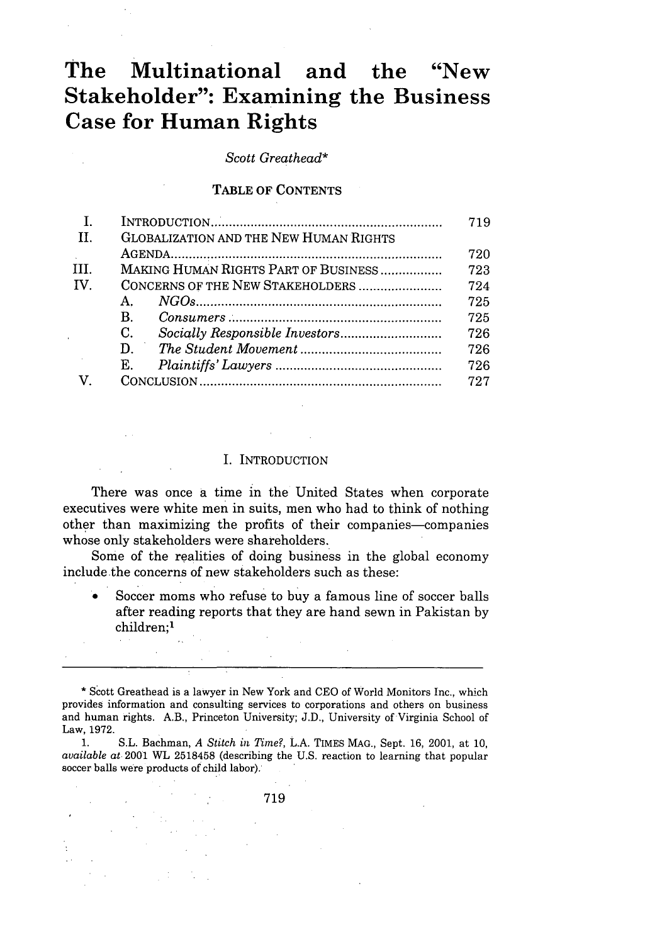# **The Multinational and the "New Stakeholder": Examining the Business Case for Human Rights**

*Scott Greathead\**

#### TABLE OF CONTENTS

|     |                                               | 719 |
|-----|-----------------------------------------------|-----|
| H.  | <b>GLOBALIZATION AND THE NEW HUMAN RIGHTS</b> |     |
|     |                                               | 720 |
| Ш.  | MAKING HUMAN RIGHTS PART OF BUSINESS          | 723 |
| IV. |                                               | 724 |
|     | А.                                            | 725 |
|     | B.                                            | 725 |
|     | C.                                            | 726 |
|     | D.                                            | 726 |
|     | Ε.                                            | 726 |
|     |                                               | 727 |
|     |                                               |     |

#### I. INTRODUCTION

There was once a time in the United States when corporate executives were white men in suits, men who had to think of nothing other than maximizing the profits of their companies-companies whose only stakeholders were shareholders.

Some of the realities of doing business in the global economy include the concerns of new stakeholders such as these:

Soccer moms who refuse to buy a famous line of soccer balls after reading reports that they are hand sewn in Pakistan by children;<sup>1</sup>

1. S.L. Bachman, *A Stitch in Time?,* L.A. TIMES **MAG.,** Sept. 16, 2001, at 10, *available at* 2001 WL 2518458 (describing the U.S. reaction to learning that popular soccer balls were products of child labor).

719

<sup>•</sup> Scott Greathead is a lawyer in New York and CEO of World Monitors Inc., which provides information and consulting services to corporations and others on business and human rights. A.B., Princeton University; J.D., University of Virginia School of Law, 1972.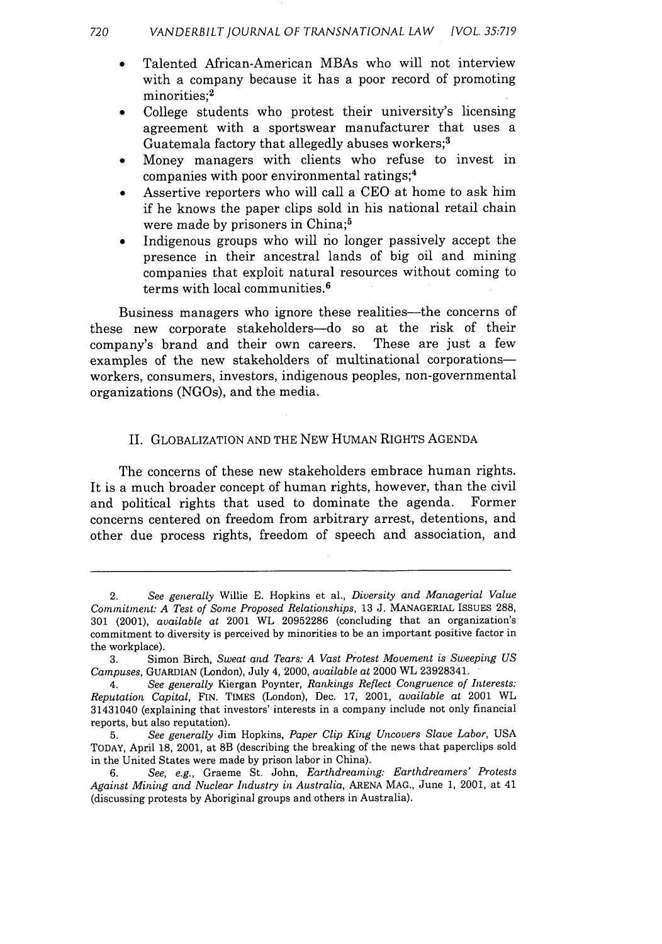- \* Talented African-American MBAs who will not interview with a company because it has a poor record of promoting minorities:<sup>2</sup>
- College students who protest their university's licensing agreement with a sportswear manufacturer that uses a Guatemala factory that allegedly abuses workers;<sup>3</sup>
- Money managers with clients who refuse to invest in companies with poor environmental ratings; <sup>4</sup>
- Assertive reporters who will call a CEO at home to ask him if he knows the paper clips sold in his national retail chain were made by prisoners in China;<sup>5</sup>
- Indigenous groups who will no longer passively accept the presence in their ancestral lands of big oil and mining companies that exploit natural resources without coming to terms with local communities.<sup>6</sup>

Business managers who ignore these realities—the concerns of these new corporate stakeholders-do so at the risk of their company's brand and their own careers. These are just a few examples of the new stakeholders of multinational corporationsworkers, consumers, investors, indigenous peoples, non-governmental organizations (NGOs), and the media.

## II. GLOBALIZATION AND THE NEW HUMAN RIGHTS AGENDA

The concerns of these new stakeholders embrace human rights. It is a much broader concept of human rights, however, than the civil and political rights that used to dominate the agenda. Former concerns centered on freedom from arbitrary arrest, detentions, and other due process rights, freedom of speech and association, and

<sup>2.</sup> *See generally* Willie E. Hopkins et al., *Diversity and Managerial Value Commitment: A Test of Some Proposed Relationships,* 13 J. MANAGERIAL ISSUES 288, 301 (2001), *available at* 2001 WL 20952286 (concluding that an organization's commitment to diversity is perceived by minorities to be an important positive factor in the workplace).

<sup>3.</sup> Simon Birch, *Sweat and Tears: A Vast Protest Movement is Sweeping US Campuses,* GUARDIAN (London), July 4, 2000, *available at* 2000 WL 23928341.

<sup>4.</sup> *See generally* Kiergan Poynter, *Rankings Reflect Congruence of Interests: Reputation Capital,* FIN. TIMES (London), Dec. 17, 2001, *available at* 2001 WL 31431040 (explaining that investors' interests in a company include not only financial reports, but also reputation).

<sup>5.</sup> *See generally* Jim Hopkins, *Paper Clip King Uncovers Slave Labor,* USA TODAY, April 18, 2001, at 8B (describing the breaking of the news that paperclips sold in the United States were made by prison labor in China).

<sup>6.</sup> *See, e.g.,* Graeme St. John, *Earthdreaming: Earthdreamers' Protests Against Mining and Nuclear Industry in Australia,* ARENA MAG., June 1, 2001, at 41 (discussing protests by Aboriginal groups and others in Australia).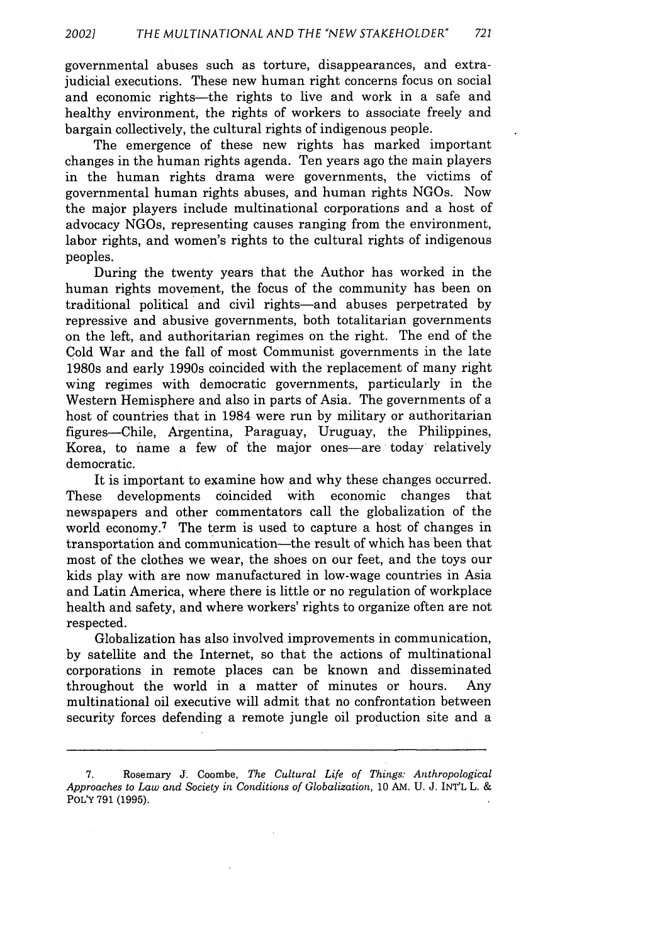governmental abuses such as torture, disappearances, and extrajudicial executions. These new human right concerns focus on social and economic rights—the rights to live and work in a safe and healthy environment, the rights of workers to associate freely and bargain collectively, the cultural rights of indigenous people.

The emergence of these new rights has marked important changes in the human rights agenda. Ten years ago the main players in the human rights drama were governments, the victims of governmental human rights abuses, and human rights NGOs. Now the major players include multinational corporations and a host of advocacy NGOs, representing causes ranging from the environment, labor rights, and women's rights to the cultural rights of indigenous peoples.

During the twenty years that the Author has worked in the human rights movement, the focus of the community has been on traditional political and civil rights-and abuses perpetrated by repressive and abusive governments, both totalitarian governments on the left, and authoritarian regimes on the right. The end of the Cold War and the fall of most Communist governments in the late 1980s and early 1990s coincided with the replacement of many right wing regimes with democratic governments, particularly in the Western Hemisphere and also in parts of Asia. The governments of a host of countries that in 1984 were run by military or authoritarian figures-Chile, Argentina, Paraguay, Uruguay, the Philippines, Korea, to name a few of the major ones—are today relatively democratic.

It is important to examine how and why these changes occurred. These developments coincided with economic changes that newspapers and other commentators call the globalization of the world economy.<sup>7</sup> The term is used to capture a host of changes in transportation and communication-the result of which has been that most of the clothes we wear, the shoes on our feet, and the toys our kids play with are now manufactured in low-wage countries in Asia and Latin America, where there is little or no regulation of workplace health and safety, and where workers' rights to organize often are not respected.

Globalization has also involved improvements in communication, by satellite and the Internet, so that the actions of multinational corporations in remote places can be known and disseminated throughout the world in a matter of minutes or hours. Any multinational oil executive will admit that no confrontation between security forces defending a remote jungle oil production site and a

**<sup>7.</sup>** Rosemary **J.** Coombe, *The Cultural Life of Things: Anthropological Approaches to Law* and *Society in Conditions of Globalization,* **10** AM. **U. J.** INT'L L. **&** POLY 791 (1995).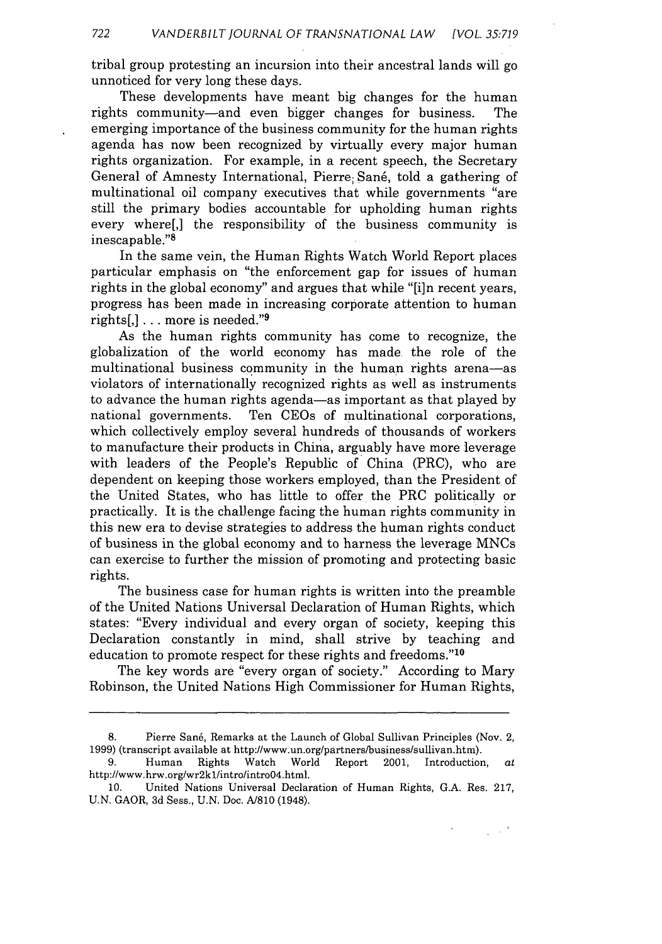tribal group protesting an incursion into their ancestral lands will go unnoticed for very long these days.

These developments have meant big changes for the human rights community—and even bigger changes for business. The emerging importance of the business community for the human rights agenda has now been recognized by virtually every major human rights organization. For example, in a recent speech, the Secretary General of Amnesty International, Pierre; Sané, told a gathering of multinational oil company executives that while governments "are still the primary bodies accountable for upholding human rights every where[,] the responsibility of the business community is inescapable. '8

In the same vein, the Human Rights Watch World Report places particular emphasis on "the enforcement gap for issues of human rights in the global economy" and argues that while "[i]n recent years, progress has been made in increasing corporate attention to human rights[,]  $\ldots$  more is needed."9

As the human rights community has come to recognize, the globalization of the world economy has made the role of the multinational business community in the human rights arena-as violators of internationally recognized rights as well as instruments to advance the human rights agenda-as important as that played by national governments. Ten CEOs of multinational corporations, which collectively employ several hundreds of thousands of workers to manufacture their products in China, arguably have more leverage with leaders of the People's Republic of China (PRC), who are dependent on keeping those workers employed, than the President of the United States, who has little to offer the PRC politically or practically. It is the challenge facing the human rights community in this new era to devise strategies to address the human rights conduct of business in the global economy and to harness the leverage MNCs can exercise to further the mission of promoting and protecting basic rights.

The business case for human rights is written into the preamble of the United Nations Universal Declaration of Human Rights, which states: "Every individual and every organ of society, keeping this Declaration constantly in mind, shall strive by teaching and education to promote respect for these rights and freedoms."'1

The key words are "every organ of society." According to Mary Robinson, the United Nations High Commissioner for Human Rights,

 $\sim 10^9$ 

<sup>8.</sup> Pierre Sané, Remarks at the Launch of Global Sullivan Principles (Nov. 2, 1999) (transcript available at http://www.un.org/partners/business/sullivan.htm).

<sup>9.</sup> Human Rights Watch World Report 2001, Introduction, at http://www.hrw.org/wr2k1/intro/introO4.html.

<sup>10.</sup> United Nations Universal Declaration of Human Rights, G.A. Res. 217, U.N. GAOR, 3d Sess., U.N. Doc. A/810 (1948).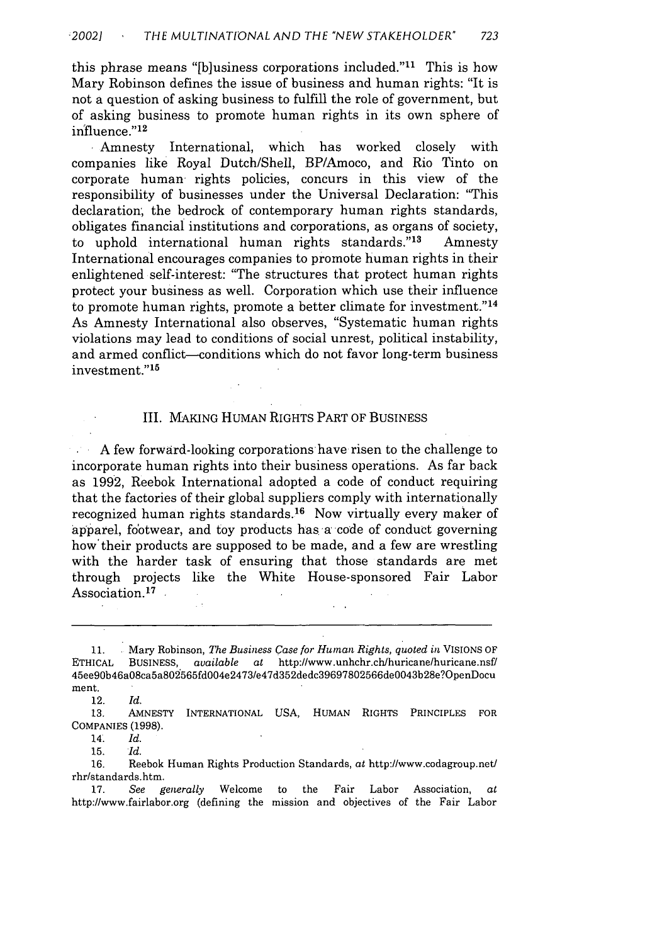this phrase means "[b]usiness corporations included." $11$  This is how Mary Robinson defines the issue of business and human rights: "It is not a question of asking business to fulfill the role of government, but of asking business to promote human rights in its own sphere of influence."<sup>12</sup>

**I** Amnesty International, which has worked closely with companies like Royal Dutch/Shell, BP/Amoco, and Rio Tinto on corporate human- rights policies, concurs in this view of the responsibility of businesses under the Universal Declaration: "This declaration, the bedrock of contemporary human rights standards, obligates financial institutions and corporations, as organs of society, to uphold international human rights standards."<sup>13</sup> Amnesty International encourages companies to promote human rights in their enlightened self-interest: "The structures that protect human rights protect your business as well. Corporation which use their influence to promote human rights, promote a better climate for investment."<sup>14</sup> As Amnesty International also observes, "Systematic human rights violations may lead to conditions of social unrest, political instability, and armed conflict-conditions which do not favor long-term business investment."<sup>15</sup>

#### **I1.** MAKING HUMAN RIGHTS PART OF BUSINESS

A few forward-looking corporations have risen to the challenge to incorporate human rights into their business operations. As far back as 1992, Reebok International adopted a code of conduct requiring that the factories of their global suppliers comply with internationally recognized human rights standards.16 Now virtually every maker of apparel, footwear, and toy products has a code of conduct governing how'their products are supposed to be made, and a few are wrestling with the harder task of ensuring that those standards are met through projects like the White House-sponsored Fair Labor Association.<sup>17</sup>

12. *Id.*

13. AMNESTY INTERNATIONAL USA, HUMAN RIGHTS PRINCIPLES FOR COMPANIES (1998).

14. *Id.*

15. *Id.*

16. Reebok Human Rights Production Standards, *at* http://www.codagroup.net/ rhr/standards.htm.

17. *See generally* Welcome to the Fair Labor Association, *at* http://www.fairlabor.org (defining the mission and objectives of the Fair Labor

<sup>11.</sup> **.** Mary Robinson, *The Business Case for Human Rights, quoted in* VISIONS OF ETHICAL BUSINESS, *available at* http:/www.unhchr.ch/huricane/huricane.nsf/ 45ee90b46a08ca5a802565fd004e2473/e47d352dedc39697802566de0043b28e?OpenDocu ment.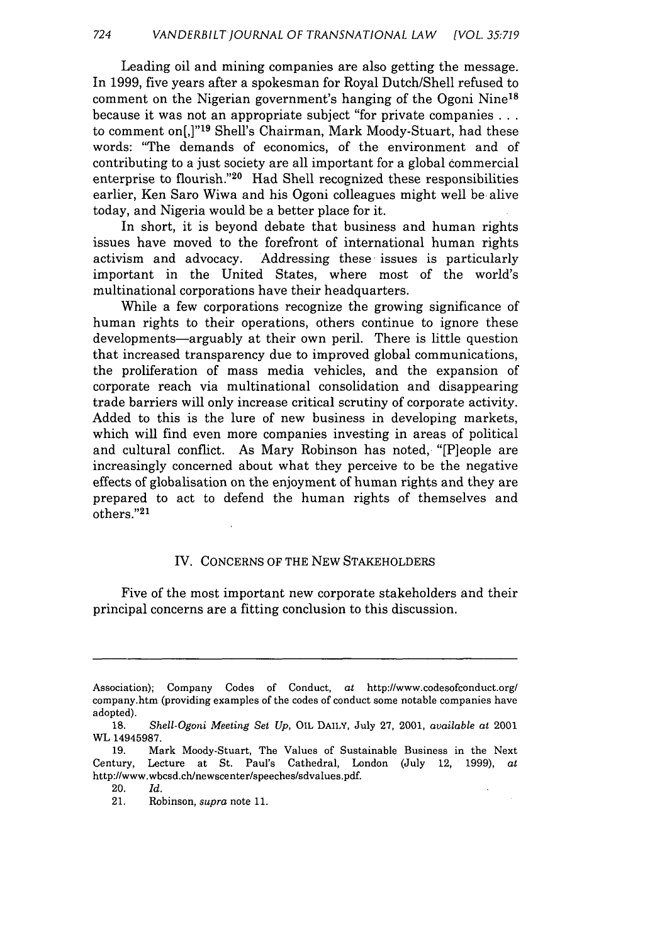Leading oil and mining companies are also getting the message. In 1999, five years after a spokesman for Royal Dutch/Shell refused to comment on the Nigerian government's hanging of the Ogoni Nine<sup>18</sup> because it was not an appropriate subject "for private companies... to comment on[,]"<sup>19</sup> Shell's Chairman, Mark Moody-Stuart, had these words: "The demands of economics, of the environment and of contributing to a just society are all important for a global commercial enterprise to flourish."<sup>20</sup> Had Shell recognized these responsibilities earlier, Ken Saro Wiwa and his Ogoni colleagues might well be alive today, and Nigeria would be a better place for it.

In short, it is beyond debate that business and human rights issues have moved to the forefront of international human rights activism and advocacy. Addressing these issues is particularly important in the United States, where most of the world's multinational corporations have their headquarters.

While a few corporations recognize the growing significance of human rights to their operations, others continue to ignore these developments—arguably at their own peril. There is little question that increased transparency due to improved global communications, the proliferation of mass media vehicles, and the expansion of corporate reach via multinational consolidation and disappearing trade barriers will only increase critical scrutiny of corporate activity. Added to this is the lure of new business in developing markets, which will find even more companies investing in areas of political and cultural conflict. As Mary Robinson has noted, "[P]eople are increasingly concerned about what they perceive to be the negative effects of globalisation on the enjoyment of human rights and they are prepared to act to defend the human rights of themselves and others."21

#### IV. **CONCERNS** OF THE **NEW** STAKEHOLDERS

Five of the most important new corporate stakeholders and their principal concerns are a fitting conclusion to this discussion.

Association); Company Codes of Conduct, at http://www.codesofconduct.org/ company.htm (providing examples of the codes of conduct some notable companies have adopted).

**<sup>18.</sup>** *Shell-Ogoni Meeting Set Up,* OIL DAILY, July **27,** 2001, *available at* 2001 WL 14945987.

**<sup>19.</sup>** Mark Moody-Stuart, The Values of Sustainable Business in the Next Century, Lecture at St. Paul's Cathedral, London (July 12, **1999),** at http://www.wbcsd.ch/newscenter/speeches/sdvalues.pdf.

<sup>20.</sup> *Id.*

**<sup>21.</sup>** Robinson, supra note **11.**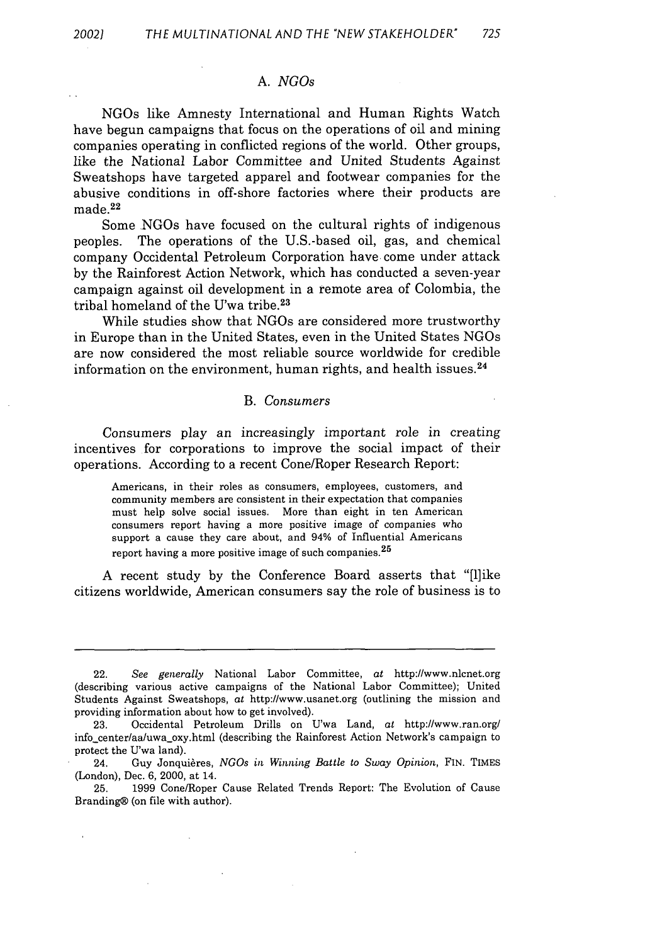#### *A. NGOs*

NGOs like Amnesty International and Human Rights Watch have begun campaigns that focus on the operations of oil and mining companies operating in conflicted regions of the world. Other groups, like the National Labor Committee and United Students Against Sweatshops have targeted apparel and footwear companies for the abusive conditions in off-shore factories where their products are made. <sup>22</sup>

Some NGOs have focused on the cultural rights of indigenous peoples. The operations of the U.S.-based oil, gas, and chemical company Occidental Petroleum Corporation have come under attack by the Rainforest Action Network, which has conducted a seven-year campaign against oil development in a remote area of Colombia, the tribal homeland of the U'wa tribe.23

While studies show that NGOs are considered more trustworthy in Europe than in the United States, even in the United States NGOs are now considered the most reliable source worldwide for credible information on the environment, human rights, and health issues. <sup>24</sup>

#### B. *Consumers*

Consumers play an increasingly important role in creating incentives for corporations to improve the social impact of their operations. According to a recent Cone/Roper Research Report:

Americans, in their roles as consumers, employees, customers, and community members are consistent in their expectation that companies must help solve social issues. More than eight in ten American consumers report having a more positive image of companies who support a cause they care about, and 94% of Influential Americans report having a more positive image of such companies.  $25$ 

A recent study by the Conference Board asserts that "[1]ike citizens worldwide, American consumers say the role of business is to

<sup>22.</sup> *See generally* National Labor Committee, at http://www.nlcnet.org (describing various active campaigns of the National Labor Committee); United Students Against Sweatshops, at http://www.usanet.org (outlining the mission and providing information about how to get involved).

<sup>23.</sup> Occidental Petroleum Drills on U'wa Land, at http://www.ran.org/ info\_center/aa/uwa.oxy.html (describing the Rainforest Action Network's campaign to protect the U'wa land).

<sup>24.</sup> Guy Jonquières, *NGOs in Winning Battle to Sway Opinion*, FIN. TIMES (London), Dec. 6, 2000, at 14.

<sup>25. 1999</sup> Cone/Roper Cause Related Trends Report: The Evolution of Cause Branding® (on file with author).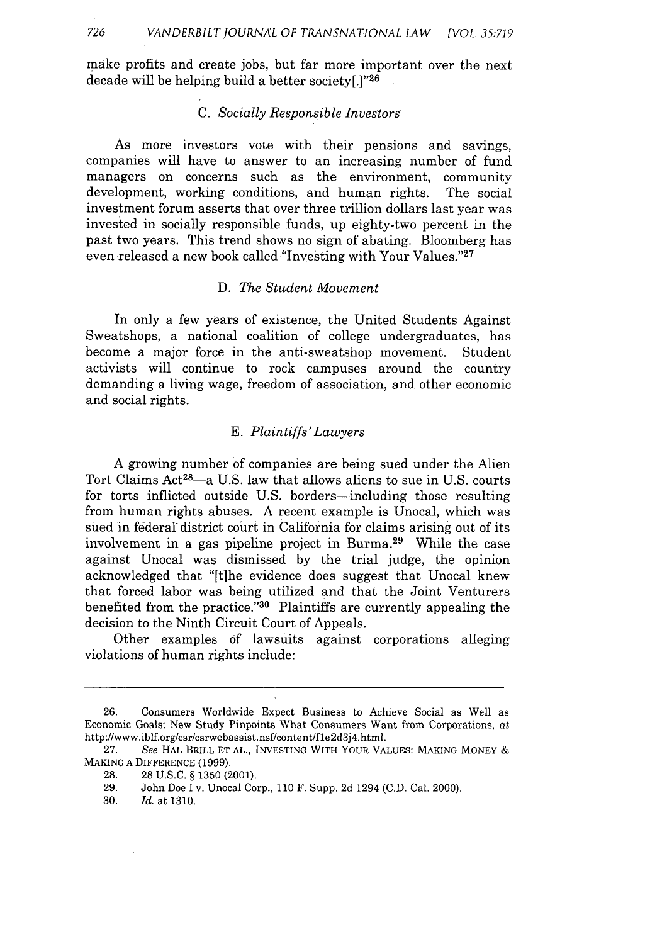make profits and create jobs, but far more important over the next decade will be helping build a better society[.]"26

#### *C. Socially Responsible Investors*

As more investors vote with their pensions and savings, companies will have to answer to an increasing number of fund managers on concerns such as the environment, community development, working conditions, and human rights. The social investment forum asserts that over three trillion dollars last year was invested in socially responsible funds, up eighty-two percent in the past two years. This trend shows no sign of abating. Bloomberg has even released a new book called "Investing with Your Values."<sup>27</sup>

### D. *The Student Movement*

In only a few years of existence, the United Students Against Sweatshops, a national coalition of college undergraduates, has become a major force in the anti-sweatshop movement. Student activists will continue to rock campuses around the country demanding a living wage, freedom of association, and other economic and social rights.

#### *E. Plaintiffs' Lawyers*

A growing number of companies are being sued under the Alien Tort Claims Act<sup>28</sup>-a U.S. law that allows aliens to sue in U.S. courts for torts inflicted outside U.S. borders—including those resulting from human rights abuses. A recent example is Unocal, which was sued in federal district court in California for claims arising out of its involvement in a gas pipeline project in Burma. 29 While the case against Unocal was dismissed by the trial judge, the opinion acknowledged that "[t]he evidence does suggest that Unocal knew that forced labor was being utilized and that the Joint Venturers benefited from the practice." $30$  Plaintiffs are currently appealing the decision to the Ninth Circuit Court of Appeals.

Other examples of lawsuits against corporations alleging violations of human rights include:

<sup>26.</sup> Consumers Worldwide Expect Business to Achieve Social as Well as Economic Goals: New Study Pinpoints What Consumers Want from Corporations, at http://www.iblf.org/csr/csrwebassist.nsf/content/fle2d3j4.html.

**<sup>27.</sup>** *See* HAL BRILL **ET AL.,** INVESTING WITH YOUR **VALUES: MAKING** MONEY **& MAKING A DIFFERENCE (1999).**

**<sup>28. 28</sup>** U.S.C. § **1350** (2001).

**<sup>29.</sup>** John Doe I v. Unocal Corp., 110 F. Supp. 2d 1294 (C.D. Cal. 2000).

**<sup>30.</sup>** *Id.* at 1310.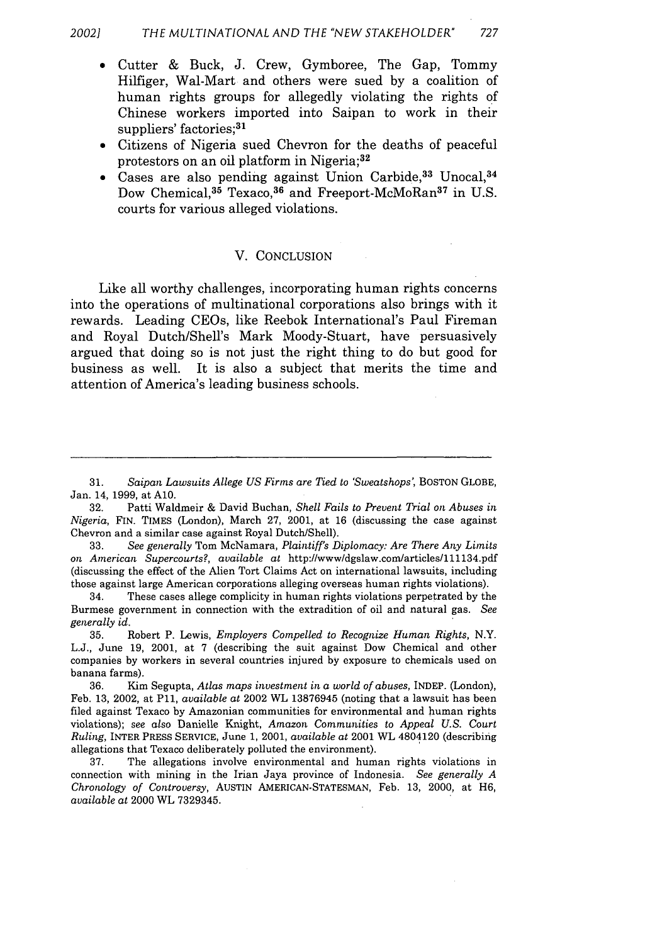- **"** Cutter & Buck, J. Crew, Gymboree, The Gap, Tommy Hilfiger, Wal-Mart and others were sued by a coalition of human rights groups for allegedly violating the rights of Chinese workers imported into Saipan to work in their suppliers' factories;<sup>31</sup>
- **"** Citizens of Nigeria sued Chevron for the deaths of peaceful protestors on an oil platform in Nigeria;<sup>32</sup>
- Cases are also pending against Union Carbide,<sup>33</sup> Unocal,<sup>34</sup> Dow Chemical,<sup>35</sup> Texaco,<sup>36</sup> and Freeport-McMoRan<sup>37</sup> in U.S. courts for various alleged violations.

#### V. CONCLUSION

Like all worthy challenges, incorporating human rights concerns into the operations of multinational corporations also brings with it rewards. Leading CEOs, like Reebok International's Paul Fireman and Royal Dutch/Shell's Mark Moody-Stuart, have persuasively argued that doing so is not just the right thing to do but good for business as well. It is also a subject that merits the time and attention of America's leading business schools.

<sup>31.</sup> *Saipan Lawsuits Allege US Firms are Tied to 'Sweatshops,* BOSTON GLOBE, Jan. 14, 1999, at **A10.**

<sup>32.</sup> Patti Waldmeir & David Buchan, *Shell Fails to Prevent Trial on Abuses in Nigeria,* FIN. TIMES (London), March 27, 2001, at 16 (discussing the case against Chevron and a similar case against Royal Dutch/Shell).

<sup>33.</sup> *See generally* Tom McNamara, *Plaintiff's Diplomacy: Are There Any Limits on American Supercourts?, available at* http://www/dgslaw.com/articles/lll134.pdf (discussing the effect of the Alien Tort Claims Act on international lawsuits, including those against large American corporations alleging overseas human rights violations).

<sup>34.</sup> These cases allege complicity in human rights violations perpetrated by the Burmese government in connection with the extradition of oil and natural gas. *See generally id.*

<sup>35.</sup> Robert P. Lewis, *Employers Compelled to Recognize Human Rights,* N.Y. L.J., June 19, 2001, at 7 (describing the suit against Dow Chemical and other companies by workers in several countries injured by exposure to chemicals used on banana farms).

<sup>36.</sup> Kim Segupta, *Atlas maps investment in a world of abuses,* INDEP. (London), Feb. 13, 2002, at P11, *available at* 2002 WL 13876945 (noting that a lawsuit has been filed against Texaco by Amazonian communities for environmental and human rights violations); *see* also Danielle Knight, *Amazon Communities to Appeal U.S. Court Ruling,* INTER PRESS SERVICE, June 1, 2001, *available at* 2001 WL 4804120 (describing allegations that Texaco deliberately polluted the environment).

<sup>37.</sup> The allegations involve environmental and human rights violations in connection with mining in the Irian Jaya province of Indonesia. *See generally A Chronology of Controversy,* AUSTIN AMERICAN-STATESMAN, Feb. 13, 2000, at H6, *available at* 2000 WL 7329345.